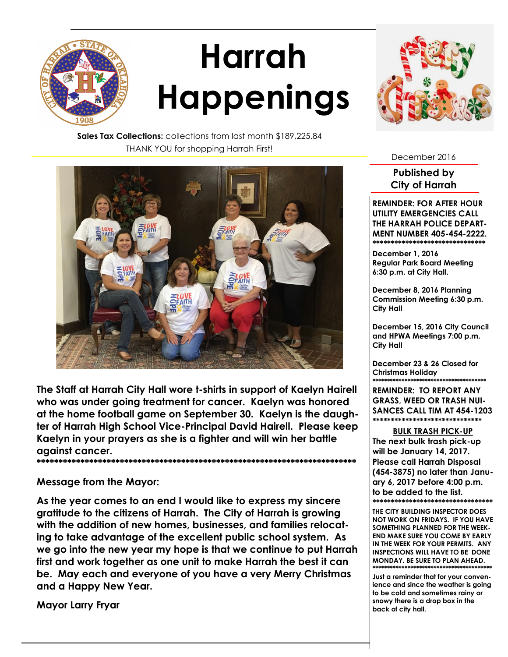

## **Harrah Happenings**



**Sales Tax Collections:** collections from last month \$189,225.84 THANK YOU for shopping Harrah First!



**The Staff at Harrah City Hall wore t-shirts in support of Kaelyn Hairell who was under going treatment for cancer. Kaelyn was honored at the home football game on September 30. Kaelyn is the daughter of Harrah High School Vice-Principal David Hairell. Please keep Kaelyn in your prayers as she is a fighter and will win her battle against cancer. \*\*\*\*\*\*\*\*\*\*\*\*\*\*\*\*\*\*\*\*\*\*\*\*\*\*\*\*\*\*\*\*\*\*\*\*\*\*\*\*\*\*\*\*\*\*\*\*\*\*\*\*\*\*\*\*\*\*\*\*\*\*\*\*\*\*\*\*\*\*\*\*\***

**Message from the Mayor:**

**As the year comes to an end I would like to express my sincere gratitude to the citizens of Harrah. The City of Harrah is growing with the addition of new homes, businesses, and families relocating to take advantage of the excellent public school system. As we go into the new year my hope is that we continue to put Harrah first and work together as one unit to make Harrah the best it can be. May each and everyone of you have a very Merry Christmas and a Happy New Year.**

**Mayor Larry Fryar** 

December 2016

**Published by City of Harrah**

**REMINDER: FOR AFTER HOUR UTILITY EMERGENCIES CALL THE HARRAH POLICE DEPART-MENT NUMBER 405-454-2222.** \*\*\*\*\*\*\*\*\*\*\*\*\*\*\*\*\*\*\*\*\*\*\*\*\*\*\*\*

**December 1, 2016 Regular Park Board Meeting 6:30 p.m. at City Hall.**

**December 8, 2016 Planning Commission Meeting 6:30 p.m. City Hall**

**December 15, 2016 City Council and HPWA Meetings 7:00 p.m. City Hall**

**December 23 & 26 Closed for Christmas Holiday \*\*\*\*\*\*\*\*\*\*\*\*\*\*\*\*\*\*\*\*\*\*\*\*\*\*\*\*\*\*\*\*\*\*\*\*\*\*\***

**REMINDER: TO REPORT ANY GRASS, WEED OR TRASH NUI-SANCES CALL TIM AT 454-1203 \*\*\*\*\*\*\*\*\*\*\*\*\*\*\*\*\*\*\*\*\*\*\*\*\*\*\*\*\*\***

**BULK TRASH PICK-UP** 

**The next bulk trash pick-up will be January 14, 2017. Please call Harrah Disposal (454-3875) no later than January 6, 2017 before 4:00 p.m. to be added to the list. \*\*\*\*\*\*\*\*\*\*\*\*\*\*\*\*\*\*\*\*\*\*\*\*\*\*\*\*\*\*\*\*\***

**THE CITY BUILDING INSPECTOR DOES NOT WORK ON FRIDAYS. IF YOU HAVE SOMETHING PLANNED FOR THE WEEK-END MAKE SURE YOU COME BY EARLY IN THE WEEK FOR YOUR PERMITS. ANY INSPECTIONS WILL HAVE TO BE DONE MONDAY. BE SURE TO PLAN AHEAD. \*\*\*\*\*\*\*\*\*\*\*\*\*\*\*\*\*\*\*\*\*\*\*\*\*\*\*\*\*\*\*\*\*\*\*\*\*\*\*\*\*** 

**Just a reminder that for your convenience and since the weather is going to be cold and sometimes rainy or snowy there is a drop box in the back of city hall.**